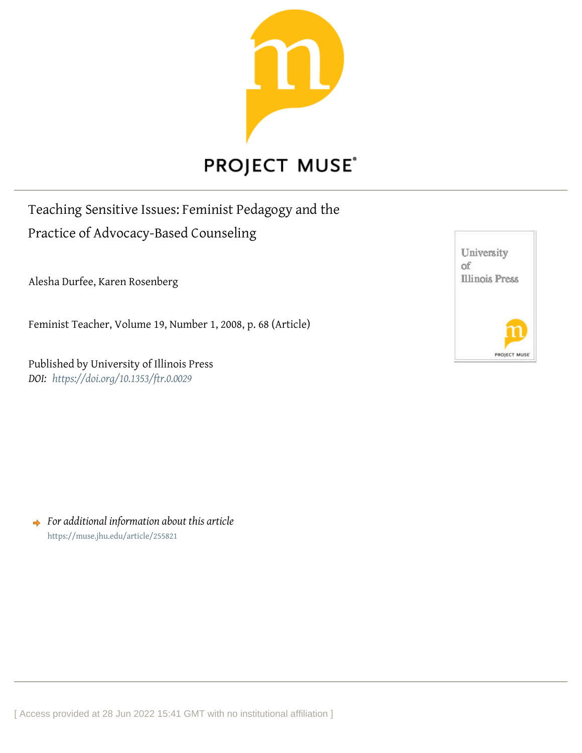

## **PROJECT MUSE®**

Teaching Sensitive Issues: Feminist Pedagogy and the Practice of Advocacy-Based Counseling

Alesha Durfee, Karen Rosenberg

Feminist Teacher, Volume 19, Number 1, 2008, p. 68 (Article)

Published by University of Illinois Press *DOI: <https://doi.org/10.1353/ftr.0.0029>*

University оf **Illinois Press** PROJECT MUSI

*For additional information about this article* <https://muse.jhu.edu/article/255821>

[ Access provided at 28 Jun 2022 15:41 GMT with no institutional affiliation ]